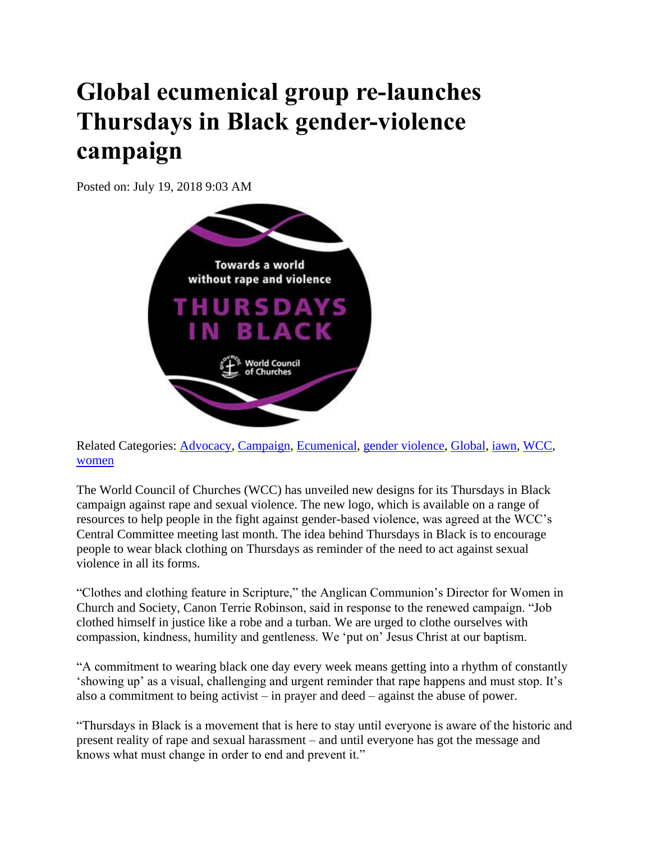## **Global ecumenical group re-launches Thursdays in Black gender-violence campaign**

Posted on: July 19, 2018 9:03 AM



Related Categories: [Advocacy,](https://www.anglicannews.org/tag/Advocacy.aspx) [Campaign,](https://www.anglicannews.org/tag/Campaign.aspx) [Ecumenical,](https://www.anglicannews.org/tag/Ecumenical.aspx) [gender violence,](https://www.anglicannews.org/tag/gender%20violence.aspx) [Global,](https://www.anglicannews.org/tag/Global.aspx) [iawn,](https://www.anglicannews.org/tag/iawn.aspx) [WCC,](https://www.anglicannews.org/tag/WCC.aspx) [women](https://www.anglicannews.org/tag/women.aspx)

The World Council of Churches (WCC) has unveiled new designs for its Thursdays in Black campaign against rape and sexual violence. The new logo, which is available on a range of resources to help people in the fight against gender-based violence, was agreed at the WCC's Central Committee meeting last month. The idea behind Thursdays in Black is to encourage people to wear black clothing on Thursdays as reminder of the need to act against sexual violence in all its forms.

"Clothes and clothing feature in Scripture," the Anglican Communion's Director for Women in Church and Society, Canon Terrie Robinson, said in response to the renewed campaign. "Job clothed himself in justice like a robe and a turban. We are urged to clothe ourselves with compassion, kindness, humility and gentleness. We 'put on' Jesus Christ at our baptism.

"A commitment to wearing black one day every week means getting into a rhythm of constantly 'showing up' as a visual, challenging and urgent reminder that rape happens and must stop. It's also a commitment to being activist – in prayer and deed – against the abuse of power.

"Thursdays in Black is a movement that is here to stay until everyone is aware of the historic and present reality of rape and sexual harassment – and until everyone has got the message and knows what must change in order to end and prevent it."